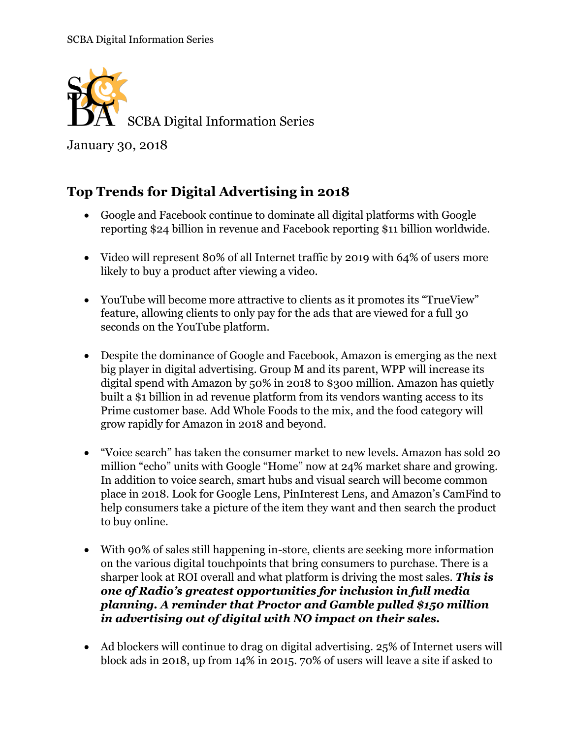

January 30, 2018

## **Top Trends for Digital Advertising in 2018**

- Google and Facebook continue to dominate all digital platforms with Google reporting \$24 billion in revenue and Facebook reporting \$11 billion worldwide.
- Video will represent 80% of all Internet traffic by 2019 with 64% of users more likely to buy a product after viewing a video.
- YouTube will become more attractive to clients as it promotes its "TrueView" feature, allowing clients to only pay for the ads that are viewed for a full 30 seconds on the YouTube platform.
- Despite the dominance of Google and Facebook, Amazon is emerging as the next big player in digital advertising. Group M and its parent, WPP will increase its digital spend with Amazon by 50% in 2018 to \$300 million. Amazon has quietly built a \$1 billion in ad revenue platform from its vendors wanting access to its Prime customer base. Add Whole Foods to the mix, and the food category will grow rapidly for Amazon in 2018 and beyond.
- "Voice search" has taken the consumer market to new levels. Amazon has sold 20 million "echo" units with Google "Home" now at 24% market share and growing. In addition to voice search, smart hubs and visual search will become common place in 2018. Look for Google Lens, PinInterest Lens, and Amazon's CamFind to help consumers take a picture of the item they want and then search the product to buy online.
- With 90% of sales still happening in-store, clients are seeking more information on the various digital touchpoints that bring consumers to purchase. There is a sharper look at ROI overall and what platform is driving the most sales. *This is one of Radio's greatest opportunities for inclusion in full media planning. A reminder that Proctor and Gamble pulled \$150 million in advertising out of digital with NO impact on their sales.*
- Ad blockers will continue to drag on digital advertising. 25% of Internet users will block ads in 2018, up from 14% in 2015. 70% of users will leave a site if asked to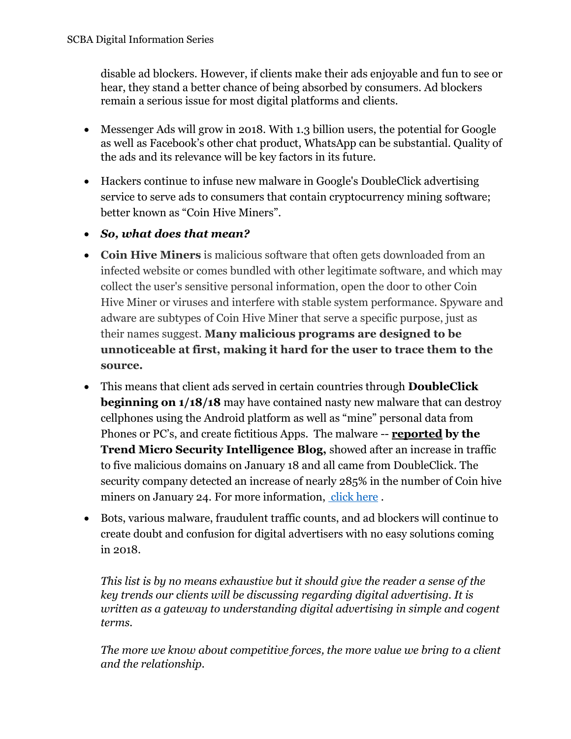disable ad blockers. However, if clients make their ads enjoyable and fun to see or hear, they stand a better chance of being absorbed by consumers. Ad blockers remain a serious issue for most digital platforms and clients.

- Messenger Ads will grow in 2018. With 1.3 billion users, the potential for Google as well as Facebook's other chat product, WhatsApp can be substantial. Quality of the ads and its relevance will be key factors in its future.
- Hackers continue to infuse new malware in Google's DoubleClick advertising service to serve ads to consumers that contain cryptocurrency mining software; better known as "Coin Hive Miners".
- *So, what does that mean?*
- **Coin Hive Miners** is malicious software that often gets downloaded from an infected website or comes bundled with other legitimate software, and which may collect the user's sensitive personal information, open the door to other Coin Hive Miner or viruses and interfere with stable system performance. Spyware and adware are subtypes of Coin Hive Miner that serve a specific purpose, just as their names suggest. **Many malicious programs are designed to be unnoticeable at first, making it hard for the user to trace them to the source.**
- This means that client ads served in certain countries through **DoubleClick beginning on 1/18/18** may have contained nasty new malware that can destroy cellphones using the Android platform as well as "mine" personal data from Phones or PC's, and create fictitious Apps. The malware -- **[reported](https://blog.trendmicro.com/trendlabs-security-intelligence/malvertising-campaign-abuses-googles-doubleclick-to-deliver-cryptocurrency-miners/) by the Trend Micro Security Intelligence Blog,** showed after an increase in traffic to five malicious domains on January 18 and all came from DoubleClick. The security company detected an increase of nearly 285% in the number of Coin hive miners on January 24. For more information, [click here](https://blog.trendmicro.com/trendlabs-security-intelligence/malvertising-campaign-abuses-googles-doubleclick-to-deliver-cryptocurrency-miners/?utm_source=feedburner&utm_medium=feed&utm_campaign=Feed%3A+Anti-MalwareBlog+%28Trendlabs+Security+Intelligence+Blog%29) .
- Bots, various malware, fraudulent traffic counts, and ad blockers will continue to create doubt and confusion for digital advertisers with no easy solutions coming in 2018.

*This list is by no means exhaustive but it should give the reader a sense of the key trends our clients will be discussing regarding digital advertising. It is written as a gateway to understanding digital advertising in simple and cogent terms.*

*The more we know about competitive forces, the more value we bring to a client and the relationship.*